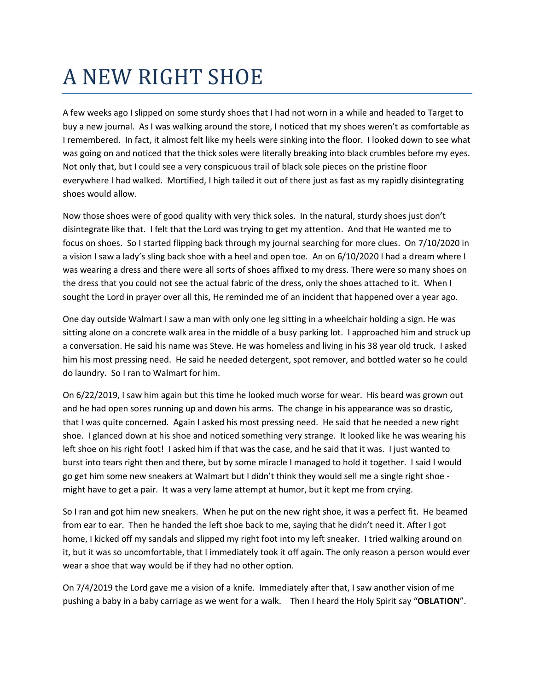## A NEW RIGHT SHOE

A few weeks ago I slipped on some sturdy shoes that I had not worn in a while and headed to Target to buy a new journal. As I was walking around the store, I noticed that my shoes weren't as comfortable as I remembered. In fact, it almost felt like my heels were sinking into the floor. I looked down to see what was going on and noticed that the thick soles were literally breaking into black crumbles before my eyes. Not only that, but I could see a very conspicuous trail of black sole pieces on the pristine floor everywhere I had walked. Mortified, I high tailed it out of there just as fast as my rapidly disintegrating shoes would allow.

Now those shoes were of good quality with very thick soles. In the natural, sturdy shoes just don't disintegrate like that. I felt that the Lord was trying to get my attention. And that He wanted me to focus on shoes. So I started flipping back through my journal searching for more clues. On 7/10/2020 in a vision I saw a lady's sling back shoe with a heel and open toe. An on 6/10/2020 I had a dream where I was wearing a dress and there were all sorts of shoes affixed to my dress. There were so many shoes on the dress that you could not see the actual fabric of the dress, only the shoes attached to it. When I sought the Lord in prayer over all this, He reminded me of an incident that happened over a year ago.

One day outside Walmart I saw a man with only one leg sitting in a wheelchair holding a sign. He was sitting alone on a concrete walk area in the middle of a busy parking lot. I approached him and struck up a conversation. He said his name was Steve. He was homeless and living in his 38 year old truck. I asked him his most pressing need. He said he needed detergent, spot remover, and bottled water so he could do laundry. So I ran to Walmart for him.

On 6/22/2019, I saw him again but this time he looked much worse for wear. His beard was grown out and he had open sores running up and down his arms. The change in his appearance was so drastic, that I was quite concerned. Again I asked his most pressing need. He said that he needed a new right shoe. I glanced down at his shoe and noticed something very strange. It looked like he was wearing his left shoe on his right foot! I asked him if that was the case, and he said that it was. I just wanted to burst into tears right then and there, but by some miracle I managed to hold it together. I said I would go get him some new sneakers at Walmart but I didn't think they would sell me a single right shoe might have to get a pair. It was a very lame attempt at humor, but it kept me from crying.

So I ran and got him new sneakers. When he put on the new right shoe, it was a perfect fit. He beamed from ear to ear. Then he handed the left shoe back to me, saying that he didn't need it. After I got home, I kicked off my sandals and slipped my right foot into my left sneaker. I tried walking around on it, but it was so uncomfortable, that I immediately took it off again. The only reason a person would ever wear a shoe that way would be if they had no other option.

On 7/4/2019 the Lord gave me a vision of a knife. Immediately after that, I saw another vision of me pushing a baby in a baby carriage as we went for a walk. Then I heard the Holy Spirit say "**OBLATION**".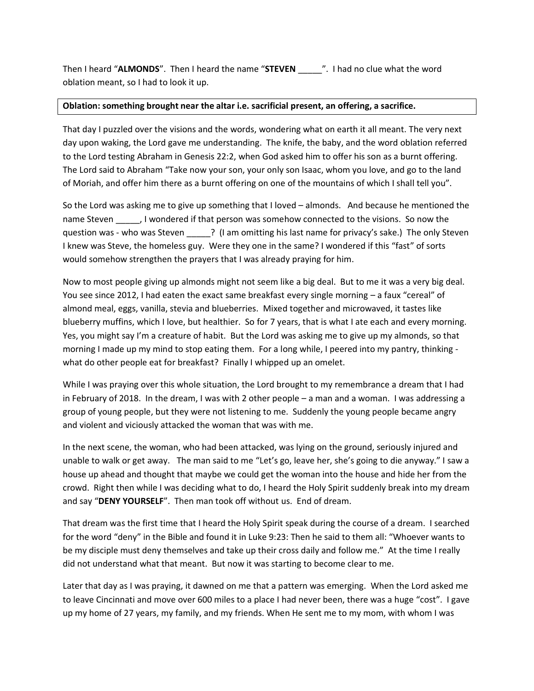Then I heard "**ALMONDS**". Then I heard the name "**STEVEN** \_\_\_\_\_". I had no clue what the word oblation meant, so I had to look it up.

## **Oblation: something brought near the altar i.e. sacrificial present, an offering, a sacrifice.**

That day I puzzled over the visions and the words, wondering what on earth it all meant. The very next day upon waking, the Lord gave me understanding. The knife, the baby, and the word oblation referred to the Lord testing Abraham in Genesis 22:2, when God asked him to offer his son as a burnt offering. The Lord said to Abraham "Take now your son, your only son Isaac, whom you love, and go to the land of Moriah, and offer him there as a burnt offering on one of the mountains of which I shall tell you".

So the Lord was asking me to give up something that I loved – almonds. And because he mentioned the name Steven  $\hspace{1cm}$ , I wondered if that person was somehow connected to the visions. So now the question was - who was Steven ? (I am omitting his last name for privacy's sake.) The only Steven I knew was Steve, the homeless guy. Were they one in the same? I wondered if this "fast" of sorts would somehow strengthen the prayers that I was already praying for him.

Now to most people giving up almonds might not seem like a big deal. But to me it was a very big deal. You see since 2012, I had eaten the exact same breakfast every single morning – a faux "cereal" of almond meal, eggs, vanilla, stevia and blueberries. Mixed together and microwaved, it tastes like blueberry muffins, which I love, but healthier. So for 7 years, that is what I ate each and every morning. Yes, you might say I'm a creature of habit. But the Lord was asking me to give up my almonds, so that morning I made up my mind to stop eating them. For a long while, I peered into my pantry, thinking what do other people eat for breakfast? Finally I whipped up an omelet.

While I was praying over this whole situation, the Lord brought to my remembrance a dream that I had in February of 2018. In the dream, I was with 2 other people – a man and a woman. I was addressing a group of young people, but they were not listening to me. Suddenly the young people became angry and violent and viciously attacked the woman that was with me.

In the next scene, the woman, who had been attacked, was lying on the ground, seriously injured and unable to walk or get away. The man said to me "Let's go, leave her, she's going to die anyway." I saw a house up ahead and thought that maybe we could get the woman into the house and hide her from the crowd. Right then while I was deciding what to do, I heard the Holy Spirit suddenly break into my dream and say "**DENY YOURSELF**". Then man took off without us. End of dream.

That dream was the first time that I heard the Holy Spirit speak during the course of a dream. I searched for the word "deny" in the Bible and found it in Luke 9:23: Then he said to them all: "Whoever wants to be my disciple must deny themselves and take up their cross daily and follow me." At the time I really did not understand what that meant. But now it was starting to become clear to me.

Later that day as I was praying, it dawned on me that a pattern was emerging. When the Lord asked me to leave Cincinnati and move over 600 miles to a place I had never been, there was a huge "cost". I gave up my home of 27 years, my family, and my friends. When He sent me to my mom, with whom I was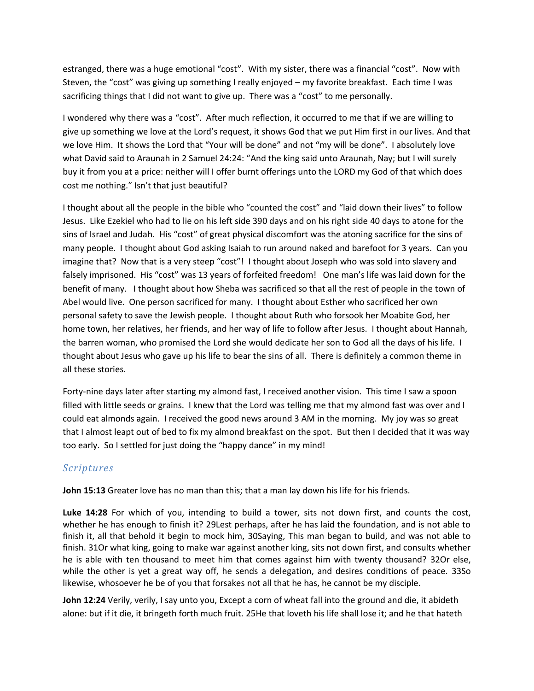estranged, there was a huge emotional "cost". With my sister, there was a financial "cost". Now with Steven, the "cost" was giving up something I really enjoyed – my favorite breakfast. Each time I was sacrificing things that I did not want to give up. There was a "cost" to me personally.

I wondered why there was a "cost". After much reflection, it occurred to me that if we are willing to give up something we love at the Lord's request, it shows God that we put Him first in our lives. And that we love Him. It shows the Lord that "Your will be done" and not "my will be done". I absolutely love what David said to Araunah in 2 Samuel 24:24: "And the king said unto Araunah, Nay; but I will surely buy it from you at a price: neither will I offer burnt offerings unto the LORD my God of that which does cost me nothing." Isn't that just beautiful?

I thought about all the people in the bible who "counted the cost" and "laid down their lives" to follow Jesus. Like Ezekiel who had to lie on his left side 390 days and on his right side 40 days to atone for the sins of Israel and Judah. His "cost" of great physical discomfort was the atoning sacrifice for the sins of many people. I thought about God asking Isaiah to run around naked and barefoot for 3 years. Can you imagine that? Now that is a very steep "cost"! I thought about Joseph who was sold into slavery and falsely imprisoned. His "cost" was 13 years of forfeited freedom! One man's life was laid down for the benefit of many. I thought about how Sheba was sacrificed so that all the rest of people in the town of Abel would live. One person sacrificed for many. I thought about Esther who sacrificed her own personal safety to save the Jewish people. I thought about Ruth who forsook her Moabite God, her home town, her relatives, her friends, and her way of life to follow after Jesus. I thought about Hannah, the barren woman, who promised the Lord she would dedicate her son to God all the days of his life. I thought about Jesus who gave up his life to bear the sins of all. There is definitely a common theme in all these stories.

Forty-nine days later after starting my almond fast, I received another vision. This time I saw a spoon filled with little seeds or grains. I knew that the Lord was telling me that my almond fast was over and I could eat almonds again. I received the good news around 3 AM in the morning. My joy was so great that I almost leapt out of bed to fix my almond breakfast on the spot. But then I decided that it was way too early. So I settled for just doing the "happy dance" in my mind!

## *Scriptures*

**John 15[:13](https://biblehub.com/john/15-13.htm)** Greater love has no man than this; that a man lay down his life for his friends.

**Luke 14:28** For which of you, intending to build a tower, sits not down first, and counts the cost, whether he has enough to finish it? [29L](https://biblehub.com/luke/14-29.htm)est perhaps, after he has laid the foundation, and is not able to finish it, all that behold it begin to mock him, [30S](https://biblehub.com/luke/14-30.htm)aying, This man began to build, and was not able to finish. [31O](https://biblehub.com/luke/14-31.htm)r what king, going to make war against another king, sits not down first, and consults whether he is able with ten thousand to meet him that comes against him with twenty thousand? [32O](https://biblehub.com/luke/14-32.htm)r else, while the other is yet a great way off, he sends a delegation, and desires conditions of peace. [33S](https://biblehub.com/luke/14-33.htm)o likewise, whosoever he be of you that forsakes not all that he has, he cannot be my disciple.

**John 12[:24](https://biblehub.com/john/12-24.htm)** Verily, verily, I say unto you, Except a corn of wheat fall into the ground and die, it abideth alone: but if it die, it bringeth forth much fruit. [25H](https://biblehub.com/john/12-25.htm)e that loveth his life shall lose it; and he that hateth